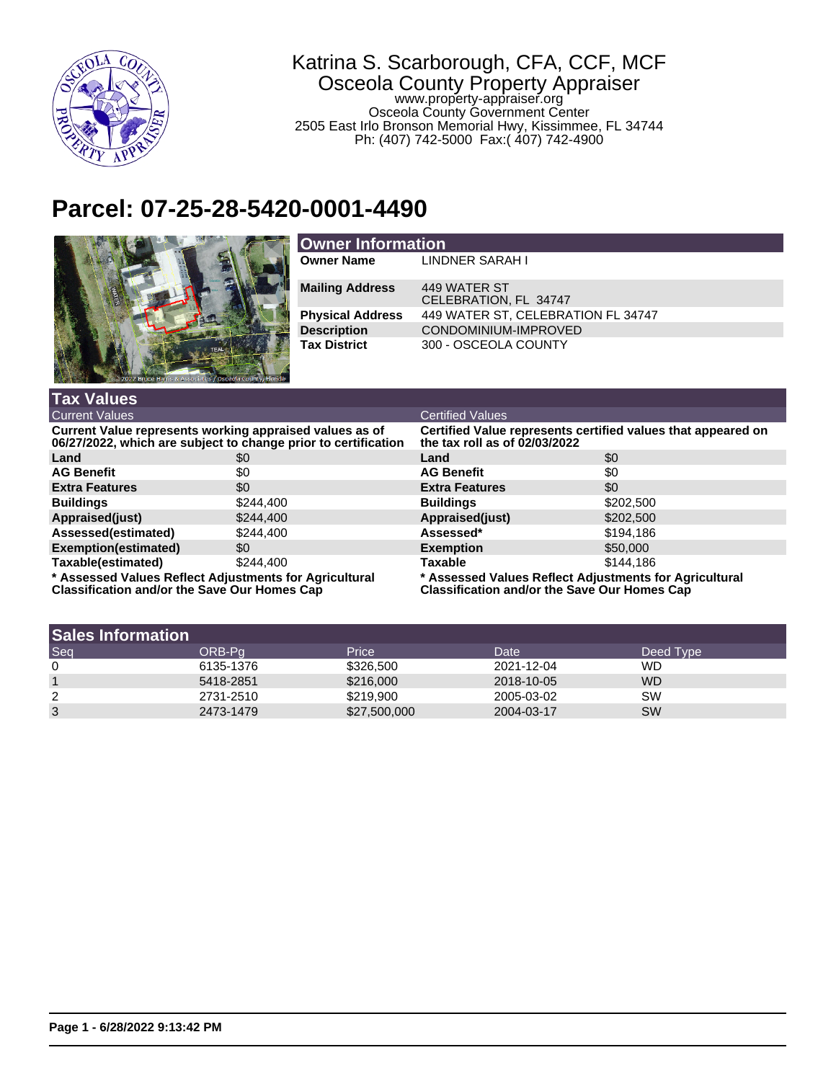

## Katrina S. Scarborough, CFA, CCF, MCF Osceola County Property Appraiser www.property-appraiser.org Osceola County Government Center 2505 East Irlo Bronson Memorial Hwy, Kissimmee, FL 34744

Ph: (407) 742-5000 Fax:( 407) 742-4900

## **Parcel: 07-25-28-5420-0001-4490**



| <b>Owner Information</b> |                                       |  |  |
|--------------------------|---------------------------------------|--|--|
| <b>Owner Name</b>        | LINDNER SARAH I                       |  |  |
| <b>Mailing Address</b>   | 449 WATER ST<br>CELEBRATION, FL 34747 |  |  |
| <b>Physical Address</b>  | 449 WATER ST, CELEBRATION FL 34747    |  |  |
| <b>Description</b>       | CONDOMINIUM-IMPROVED                  |  |  |
| <b>Tax District</b>      | 300 - OSCEOLA COUNTY                  |  |  |

| <b>Tax Values</b>                                                                                                         |           |                                                                                                               |           |  |
|---------------------------------------------------------------------------------------------------------------------------|-----------|---------------------------------------------------------------------------------------------------------------|-----------|--|
| <b>Current Values</b>                                                                                                     |           | <b>Certified Values</b>                                                                                       |           |  |
| Current Value represents working appraised values as of<br>06/27/2022, which are subject to change prior to certification |           | Certified Value represents certified values that appeared on<br>the tax roll as of 02/03/2022                 |           |  |
| Land                                                                                                                      | \$0       | Land                                                                                                          | \$0       |  |
| <b>AG Benefit</b>                                                                                                         | \$0       | <b>AG Benefit</b>                                                                                             | \$0       |  |
| <b>Extra Features</b>                                                                                                     | \$0       | <b>Extra Features</b>                                                                                         | \$0       |  |
| <b>Buildings</b>                                                                                                          | \$244.400 | <b>Buildings</b>                                                                                              | \$202,500 |  |
| Appraised(just)                                                                                                           | \$244.400 | Appraised(just)                                                                                               | \$202,500 |  |
| Assessed(estimated)                                                                                                       | \$244.400 | Assessed*                                                                                                     | \$194,186 |  |
| Exemption(estimated)                                                                                                      | \$0       | <b>Exemption</b>                                                                                              | \$50,000  |  |
| Taxable(estimated)                                                                                                        | \$244.400 | <b>Taxable</b>                                                                                                | \$144.186 |  |
| * Assessed Values Reflect Adjustments for Agricultural<br><b>Classification and/or the Save Our Homes Cap</b>             |           | * Assessed Values Reflect Adjustments for Agricultural<br><b>Classification and/or the Save Our Homes Cap</b> |           |  |

| <b>Sales Information</b> |           |              |            |           |
|--------------------------|-----------|--------------|------------|-----------|
| Seq                      | ORB-Pa    | Price        | Date       | Deed Type |
| $\mathbf 0$              | 6135-1376 | \$326,500    | 2021-12-04 | <b>WD</b> |
|                          | 5418-2851 | \$216,000    | 2018-10-05 | <b>WD</b> |
| 2                        | 2731-2510 | \$219,900    | 2005-03-02 | <b>SW</b> |
| 3                        | 2473-1479 | \$27,500,000 | 2004-03-17 | <b>SW</b> |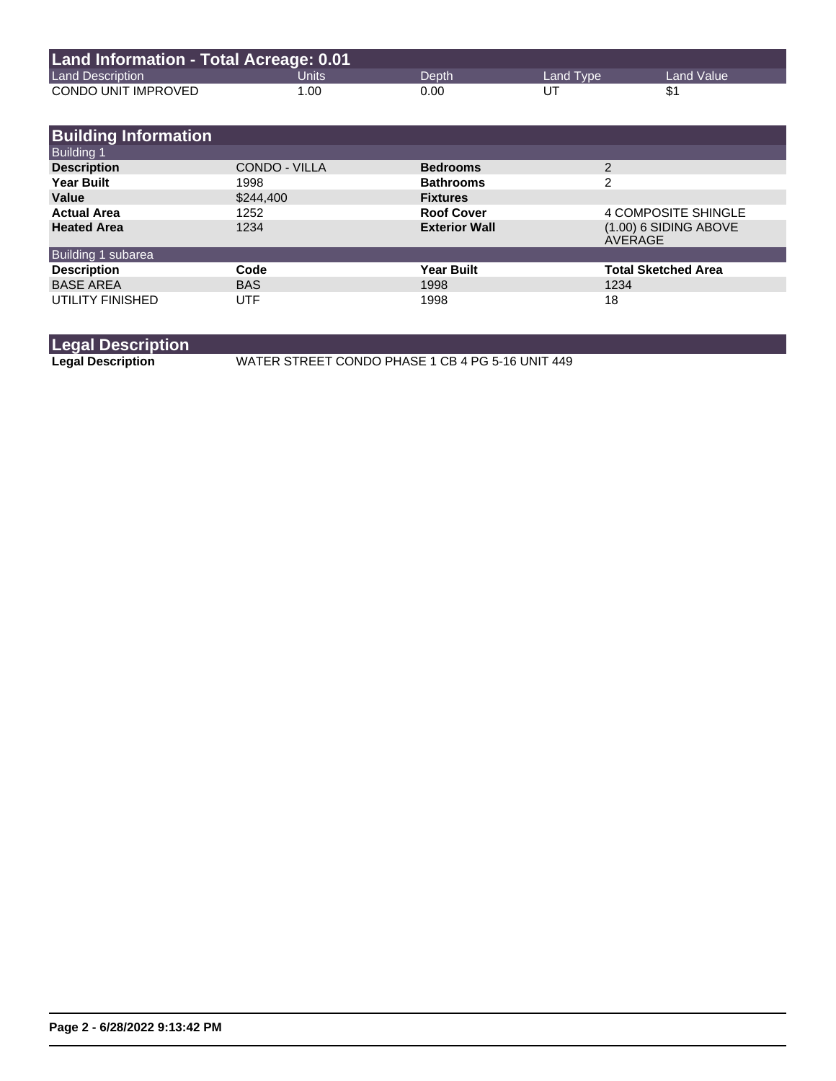| Land Information - Total Acreage: 0.01 |       |       |           |              |
|----------------------------------------|-------|-------|-----------|--------------|
| <b>Land Description</b>                | Units | Depth | Land Type | Land Value \ |
| CONDO UNIT IMPROVED                    | 1.00  | 0.00  | UT        |              |

| <b>Building Information</b>             |               |                      |                                    |
|-----------------------------------------|---------------|----------------------|------------------------------------|
| <b>Building 1</b><br><b>Description</b> | CONDO - VILLA | <b>Bedrooms</b>      | $\mathfrak{p}$                     |
| <b>Year Built</b>                       | 1998          | <b>Bathrooms</b>     | 2                                  |
| Value                                   | \$244,400     | <b>Fixtures</b>      |                                    |
| <b>Actual Area</b>                      | 1252          | <b>Roof Cover</b>    | 4 COMPOSITE SHINGLE                |
| <b>Heated Area</b>                      | 1234          | <b>Exterior Wall</b> | $(1.00)$ 6 SIDING ABOVE<br>AVERAGE |
| Building 1 subarea                      |               |                      |                                    |
| <b>Description</b>                      | Code          | <b>Year Built</b>    | <b>Total Sketched Area</b>         |
| <b>BASE AREA</b>                        | <b>BAS</b>    | 1998                 | 1234                               |
| UTILITY FINISHED                        | UTF           | 1998                 | 18                                 |

**Legal Description**

**Legal Description** WATER STREET CONDO PHASE 1 CB 4 PG 5-16 UNIT 449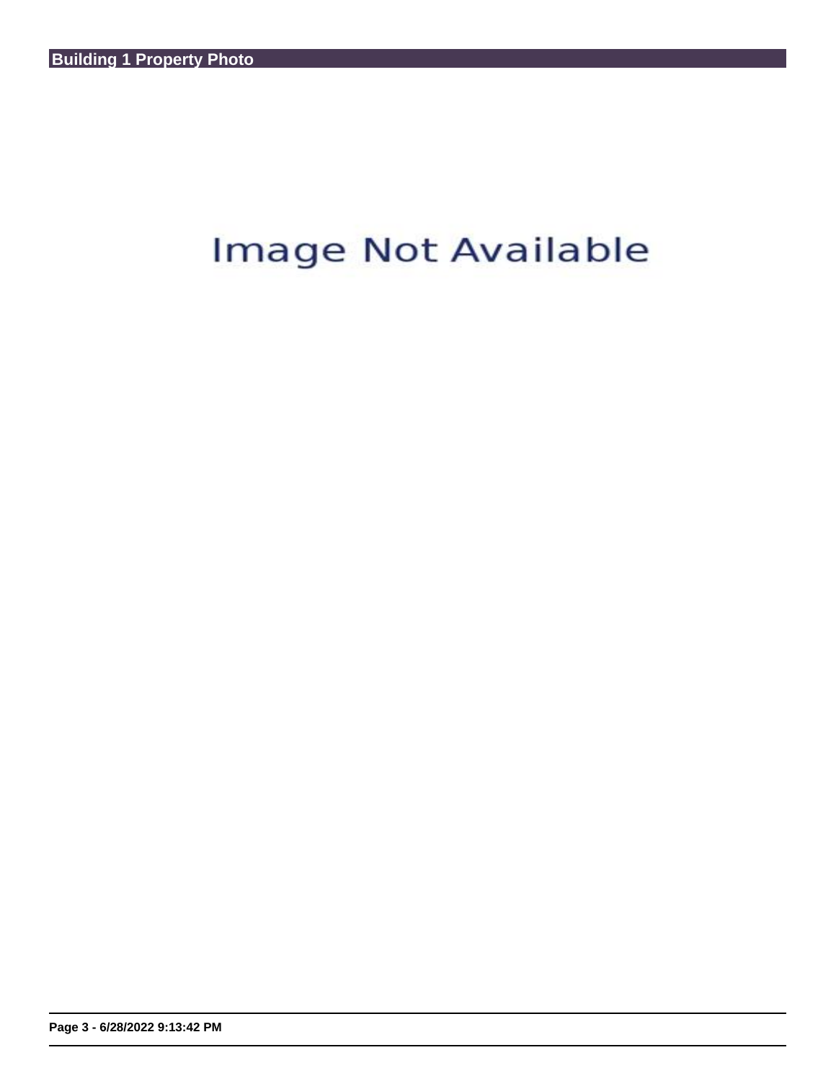## Image Not Available